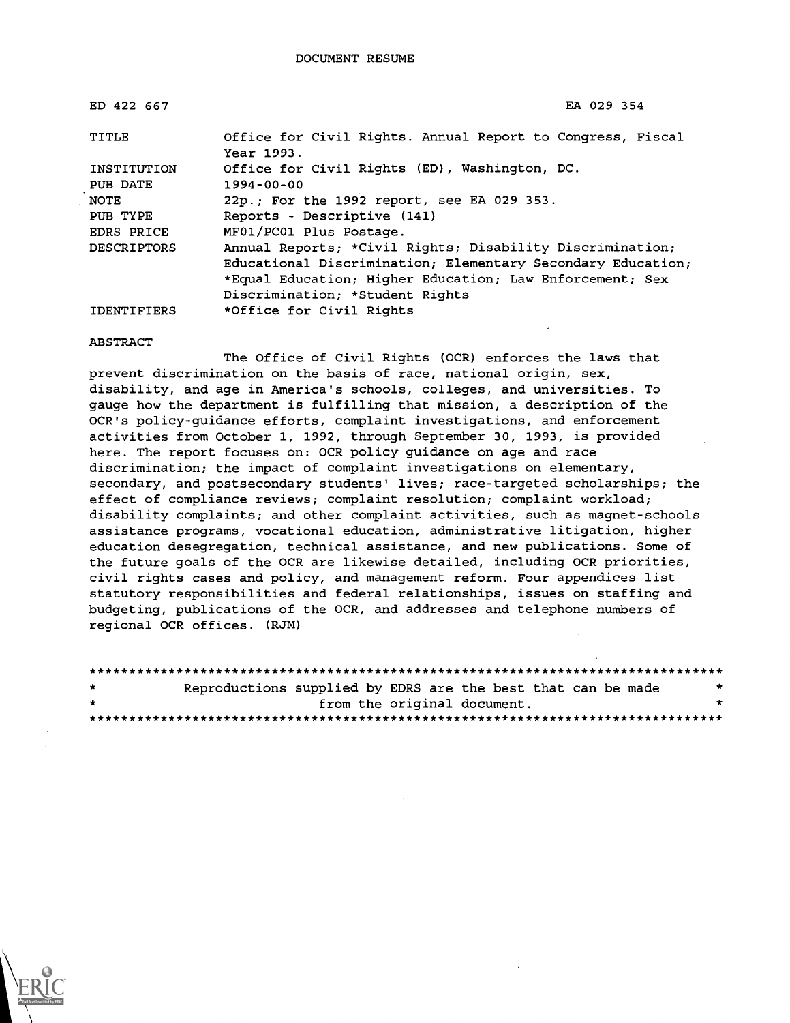| ED 422 667         | EA 029 354                                                               |
|--------------------|--------------------------------------------------------------------------|
| TITLE              | Office for Civil Rights. Annual Report to Congress, Fiscal<br>Year 1993. |
| INSTITUTION        | Office for Civil Rights (ED), Washington, DC.                            |
| PUB DATE           | $1994 - 00 - 00$                                                         |
| NOTE               | 22p.; For the 1992 report, see EA 029 353.                               |
| PUB TYPE           | Reports - Descriptive (141)                                              |
| EDRS PRICE         | MF01/PC01 Plus Postage.                                                  |
| <b>DESCRIPTORS</b> | Annual Reports; *Civil Rights; Disability Discrimination;                |
|                    | Educational Discrimination; Elementary Secondary Education;              |
|                    | *Equal Education; Higher Education; Law Enforcement; Sex                 |
|                    | Discrimination; *Student Rights                                          |
| <b>IDENTIFIERS</b> | *Office for Civil Rights                                                 |

ABSTRACT

The Office of Civil Rights (OCR) enforces the laws that prevent discrimination on the basis of race, national origin, sex, disability, and age in America's schools, colleges, and universities. To gauge how the department is fulfilling that mission, a description of the OCR's policy-guidance efforts, complaint investigations, and enforcement activities from October 1, 1992, through September 30, 1993, is provided here. The report focuses on: OCR policy guidance on age and race discrimination; the impact of complaint investigations on elementary, secondary, and postsecondary students' lives; race-targeted scholarships; the effect of compliance reviews; complaint resolution; complaint workload; disability complaints; and other complaint activities, such as magnet-schools assistance programs, vocational education, administrative litigation, higher education desegregation, technical assistance, and new publications. Some of the future goals of the OCR are likewise detailed, including OCR priorities, civil rights cases and policy, and management reform. Four appendices list statutory responsibilities and federal relationships, issues on staffing and budgeting, publications of the OCR, and addresses and telephone numbers of regional OCR offices. (RJM)

| $\star$ | Reproductions supplied by EDRS are the best that can be made |  |                             |  | * |
|---------|--------------------------------------------------------------|--|-----------------------------|--|---|
| $\star$ |                                                              |  | from the original document. |  | * |
|         |                                                              |  |                             |  |   |

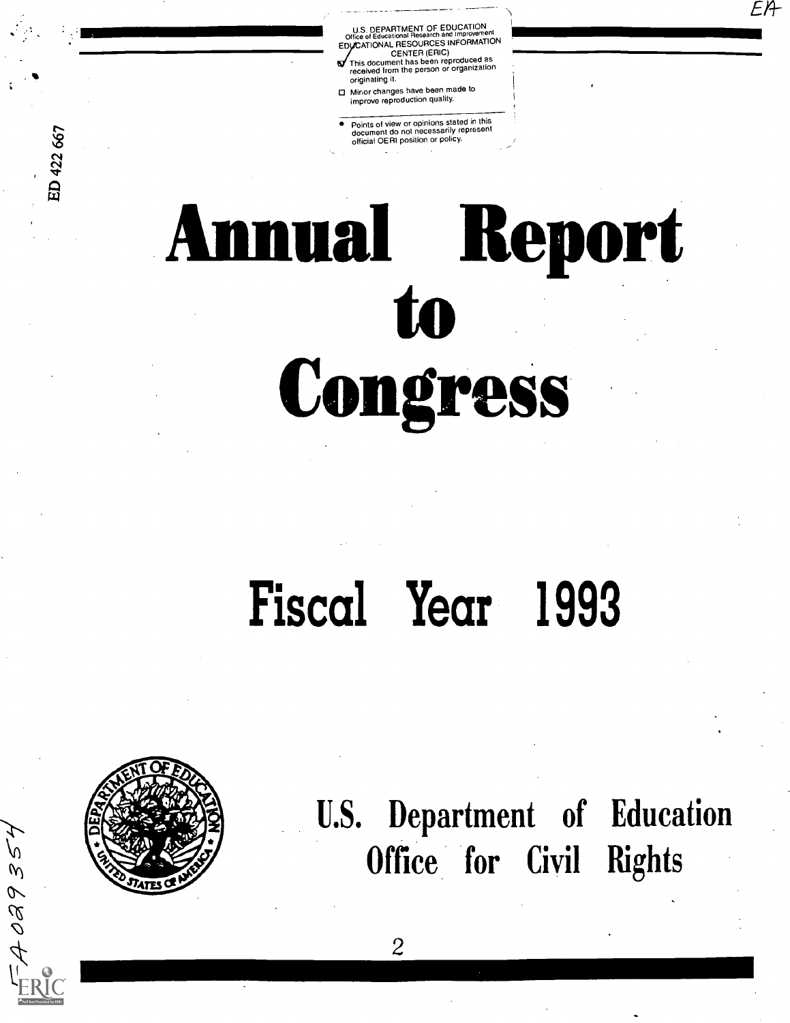, DEPARTMENT OF EDUCATION<br>of Educational Research and Improvem Office of Educational Research and Improvement<br>EDUCATIONAL RESOURCES INFORMATION CENTER (ERIC) This document has been reproduced as received from the person or organization

EA

- originating it. 0 Minor changes have been made to improve reproduction quality.
- Points of view or opinions stated in this document do not necessarily represent official OERI position or policy.

# Annual Report to Congress

## Fiscal Year 1993

 $\mathbf{2}$ 



TSE680K

U.S. Department of Education Office for Civil Rights

ED 422 667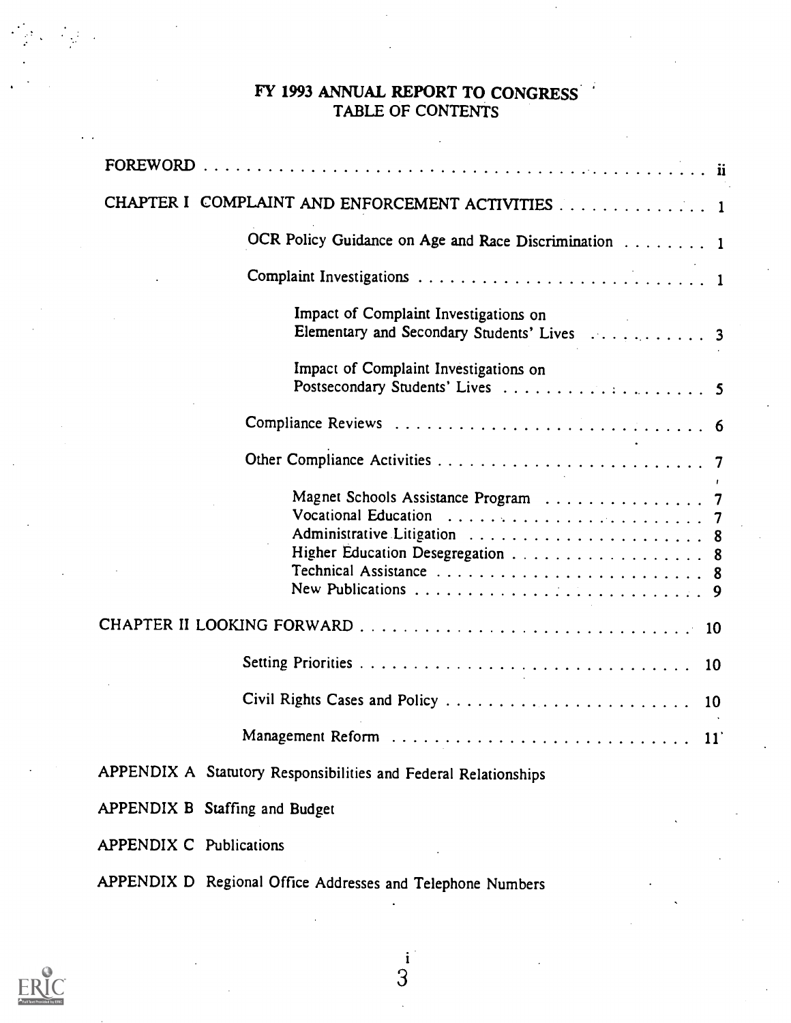#### FY 1993 ANNUAL REPORT TO CONGRESS' TABLE OF CONTENTS

| CHAPTER I COMPLAINT AND ENFORCEMENT ACTIVITIES 1                 |
|------------------------------------------------------------------|
| OCR Policy Guidance on Age and Race Discrimination 1             |
|                                                                  |
| Impact of Complaint Investigations on                            |
| Impact of Complaint Investigations on                            |
|                                                                  |
|                                                                  |
| Administrative Litigation  8<br>Higher Education Desegregation 8 |
|                                                                  |
|                                                                  |
| Civil Rights Cases and Policy<br>10                              |
| Management Reform<br>11                                          |
| APPENDIX A Statutory Responsibilities and Federal Relationships  |
| APPENDIX B Staffing and Budget                                   |
| <b>APPENDIX C Publications</b>                                   |
| APPENDIX D Regional Office Addresses and Telephone Numbers       |



 $\label{eq:2} \frac{1}{\sqrt{2}}\sum_{i=1}^N\frac{1}{2}\sum_{j=1}^N\frac{1}{2}\sum_{j=1}^N\frac{1}{2}\sum_{j=1}^N\frac{1}{2}\sum_{j=1}^N\frac{1}{2}\sum_{j=1}^N\frac{1}{2}\sum_{j=1}^N\frac{1}{2}\sum_{j=1}^N\frac{1}{2}\sum_{j=1}^N\frac{1}{2}\sum_{j=1}^N\frac{1}{2}\sum_{j=1}^N\frac{1}{2}\sum_{j=1}^N\frac{1}{2}\sum_{j=1}^N\frac{1}{2}\sum_{j=1}^$ 

 $\frac{i}{3}$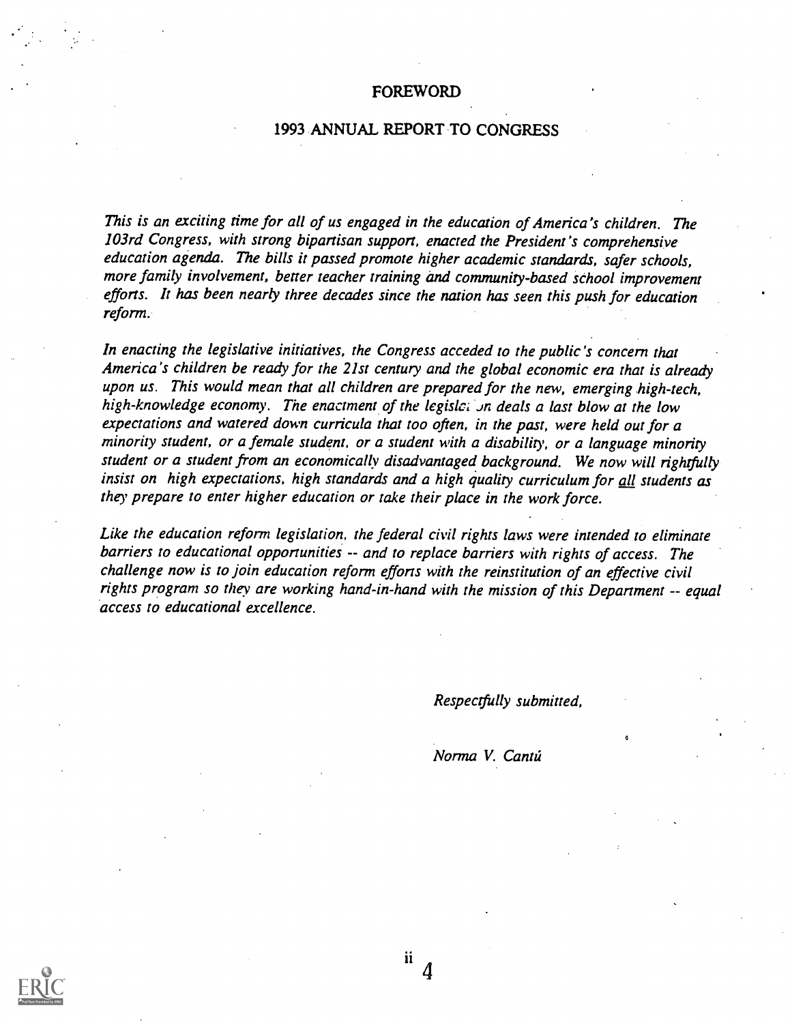#### FOREWORD

#### 1993 ANNUAL REPORT TO CONGRESS

This is an exciting time for all of us engaged in the education of America's children. The 103rd Congress, with strong bipartisan support, enacted the President's comprehensive education agenda. The bills it passed promote higher academic standards, safer schools, more family involvement, better teacher training and community-based school improvement efforts. It has been nearly three decades since the nation has seen this push for education reform.

In enacting the legislative initiatives, the Congress acceded to the public's concern that America's children be ready for the 21st century and the global economic era that is already upon us. This would mean that all children are prepared for the new, emerging high-tech, high-knowledge economy. The enactment of the legislet on deals a last blow at the low expectations and watered down curricula that too often, in the past, were held out for a minority student, or a female student, or a student with a disability, or a language minority student or a student from an economically disadvantaged background. We now will rightfully insist on high expectations, high standards and a high quality curriculum for all students as they prepare to enter higher education or take their place in the work force.

Like the education reform legislation, the federal civil rights laws were intended to eliminate barriers to educational opportunities -- and to replace barriers with rights of access. The challenge now is to join education reform efforts with the reinstitution of an effective civil rights program so they are working hand-in-hand with the mission of this Department -- equal access to educational excellence.

Respectfully submitted,

Norma V. Cantú

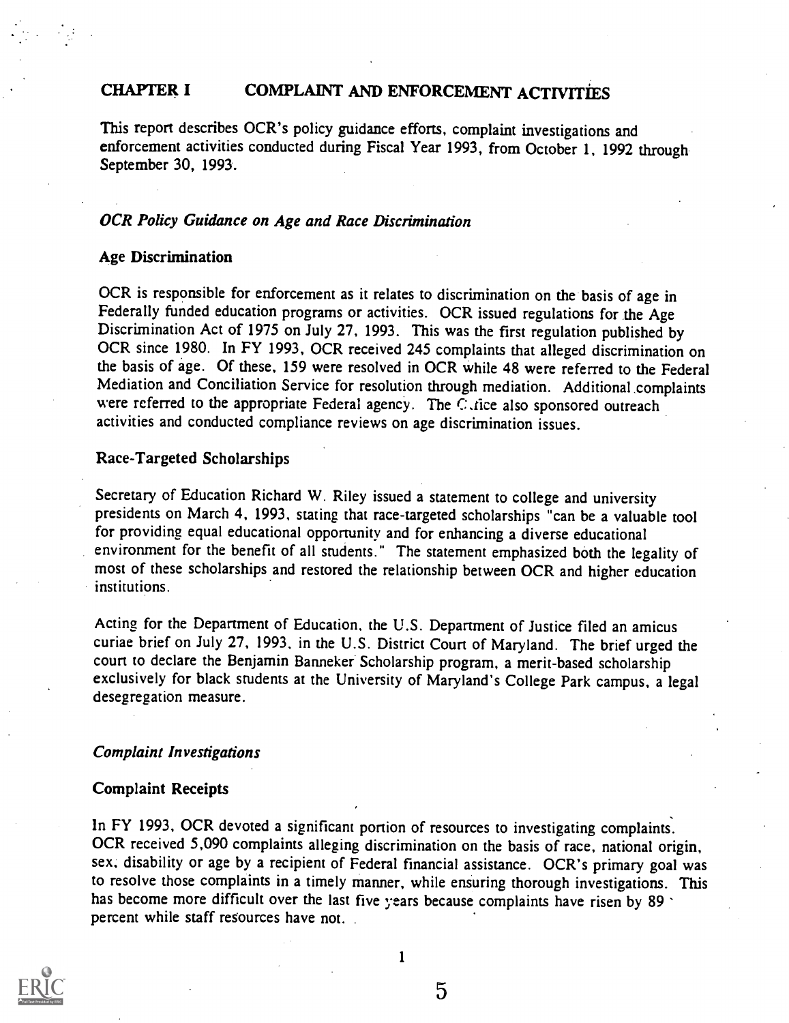#### CHAPTER I COMPLAINT AND ENFORCEMENT ACTIVITIES

This report describes OCR's policy guidance efforts, complaint investigations and enforcement activities conducted during Fiscal Year 1993, from October 1, 1992 through September 30, 1993.

#### OCR Policy Guidance on Age and Race Discrimination

#### Age Discrimination

OCR is responsible for enforcement as it relates to discrimination on the basis of age in Federally funded education programs or activities. OCR issued regulations for the Age Discrimination Act of 1975 on July 27, 1993. This was the first regulation published by OCR since 1980. In FY 1993, OCR received 245 complaints that alleged discrimination on the basis of age. Of these, 159 were resolved in OCR while 48 were referred to the Federal Mediation and Conciliation Service for resolution through mediation. Additional complaints were referred to the appropriate Federal agency. The C.tice also sponsored outreach activities and conducted compliance reviews on age discrimination issues.

#### Race-Targeted Scholarships

Secretary of Education Richard W. Riley issued a statement to college and university presidents on March 4, 1993, stating that race-targeted scholarships "can be a valuable tool for providing equal educational opportunity and for enhancing a diverse educational environment for the benefit of all students." The statement emphasized both the legality of most of these scholarships and restored the relationship between OCR and higher education institutions.

Acting for the Department of Education. the U.S. Department of Justice filed an amicus curiae brief on July 27, 1993, in the U.S. District Court of Maryland. The brief urged the court to declare the Benjamin Banneker. Scholarship program, a merit-based scholarship exclusively for black students at the University of Maryland's College Park campus, a legal desegregation measure.

#### Complaint Investigations

#### Complaint Receipts

In FY 1993, OCR devoted a significant portion of resources to investigating complaints. OCR received 5,090 complaints alleging discrimination on the basis of race, national origin, sex, disability or age by a recipient of Federal financial assistance. OCR's primary goal was to resolve those complaints in a timely manner, while ensuring thorough investigations. This has become more difficult over the last five years because complaints have risen by 89. percent while staff resources have not.



1

 $\overline{5}$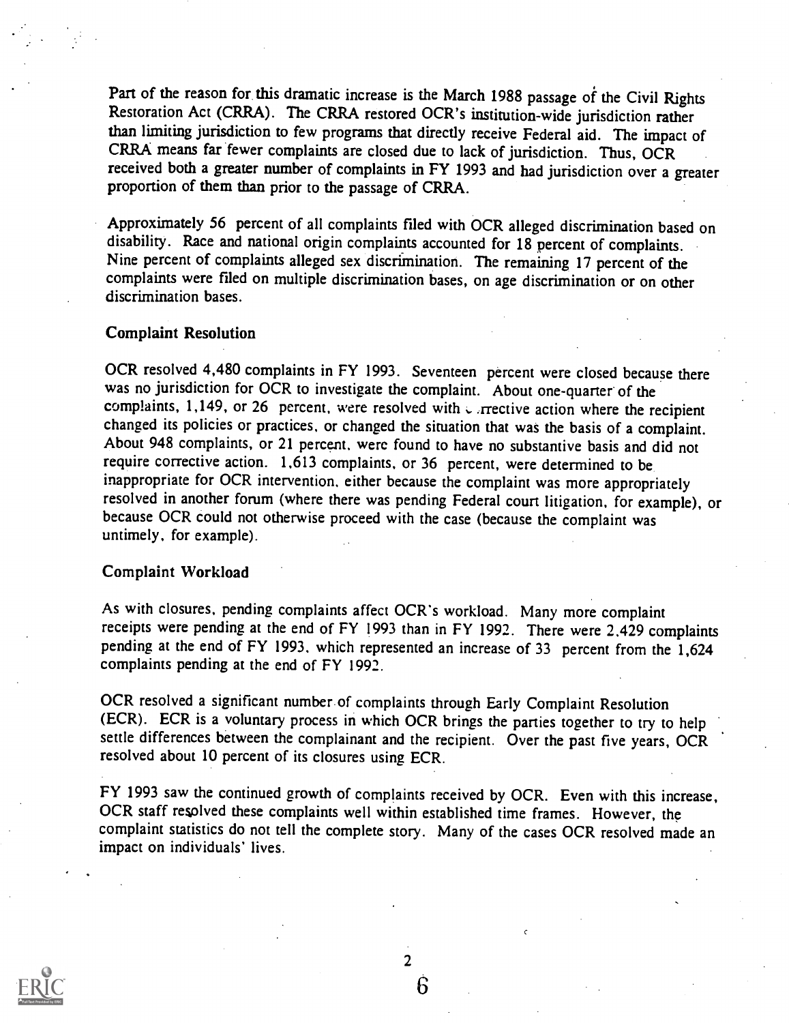Part of the reason for this dramatic increase is the March 1988 passage of the Civil Rights Restoration Act (CRRA). The CRRA restored OCR's institution-wide jurisdiction rather than limiting jurisdiction to few programs that directly receive Federal aid. The impact of CRRA means far fewer complaints are closed due to lack of jurisdiction. Thus, OCR received both a greater number of complaints in FY 1993 and had jurisdiction over a greater proportion of them than prior to the passage of CRRA.

Approximately 56 percent of all complaints filed with OCR alleged discrimination based on disability. Race and national origin complaints accounted for 18 percent of complaints. Nine percent of complaints alleged sex discrimination. The remaining 17 percent of the complaints were filed on multiple discrimination bases, on age discrimination or on other discrimination bases.

#### Complaint Resolution

OCR resolved 4,480 complaints in FY 1993. Seventeen percent were closed because there was no jurisdiction for OCR to investigate the complaint. About one-quarter of the complaints, 1,149, or 26 percent, were resolved with  $\epsilon$  rective action where the recipient changed its policies or practices, or changed the situation that was the basis of a complaint. About 948 complaints, or 21 percent. werc found to have no substantive basis and did not require corrective action. 1,613 complaints, or 36 percent, were determined to be inappropriate for OCR intervention, either because the complaint was more appropriately resolved in another forum (where there was pending Federal court litigation, for example), or because OCR could not otherwise proceed with the case (because the complaint was untimely, for example).

#### Complaint Workload

As with closures, pending complaints affect OCR's workload. Many more complaint receipts were pending at the end of FY 1993 than in FY 1992. There were 2,429 complaints pending at the end of FY 1993. which represented an increase of 33 percent from the 1,624 complaints pending at the end of FY 1992.

OCR resolved a significant number of complaints through Early Complaint Resolution (ECR). ECR is a voluntary process in which OCR brings the parties together to try to help settle differences between the complainant and the recipient. Over the past five years, OCR resolved about 10 percent of its closures using ECR.

FY 1993 saw the continued growth of complaints received by OCR. Even with this increase, OCR staff resolved these complaints well within established time frames. However, the complaint statistics do not tell the complete story. Many of the cases OCR resolved made an impact on individuals' lives.



2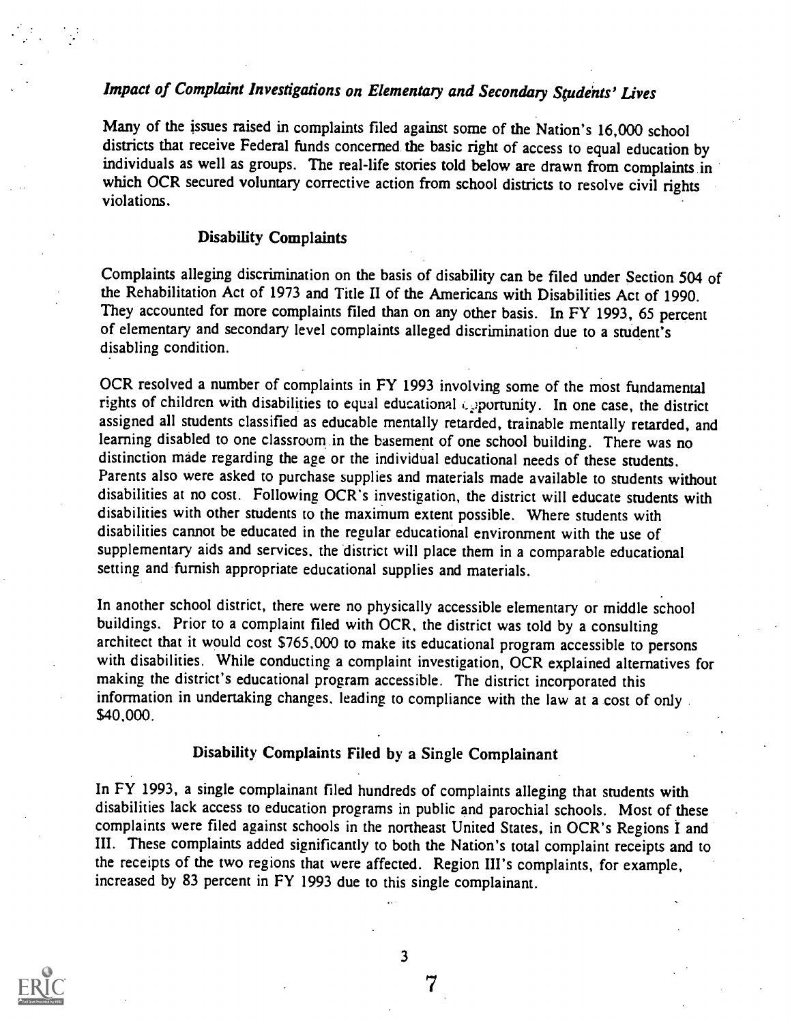### Impact of Complaint Investigations on Elementary and Secondary Students' Lives

Many of the issues raised in complaints filed against some of the Nation's 16,000 school districts that receive Federal funds concerned the basic right of access to equal education by individuals as well as groups. The real-life stories told below are drawn from complaints in which OCR secured voluntary corrective action from school districts to resolve civil rights violations.

#### Disability Complaints

Complaints alleging discrimination on the basis of disability can be filed under Section 504 of the Rehabilitation Act of 1973 and Title II of the Americans with Disabilities Act of 1990. They accounted for more complaints filed than on any other basis. In FY 1993, 65 percent of elementary and secondary level complaints alleged discrimination due to a student's disabling condition.

OCR resolved a number of complaints in FY 1993 involving some of the most fundamental rights of children with disabilities to equal educational epportunity. In one case, the district assigned all students classified as educable mentally retarded, trainable mentally retarded, and learning disabled to one classroom in the basement of one school building. There was no distinction made regarding the age or the individual educational needs of these students. Parents also were asked to purchase supplies and materials made available to students without disabilities at no cost. Following OCR's investigation, the district will educate students with disabilities with other students to the maximum extent possible. Where students with disabilities cannot be educated in the regular educational environment with the use of supplementary aids and services, the district will place them in a comparable educational setting and furnish appropriate educational supplies and materials.

In another school district, there were no physically accessible elementary or middle school buildings. Prior to a complaint filed with OCR, the district was told by a consulting architect that it would cost \$765,000 to make its educational program accessible to persons with disabilities. While conducting a complaint investigation, OCR explained alternatives for making the district's educational program accessible. The district incorporated this information in undertaking changes. leading to compliance with the law at a cost of only \$40,000.

#### Disability Complaints Filed by a Single Complainant

In FY 1993, a single complainant filed hundreds of complaints alleging that students with disabilities lack access to education programs in public and parochial schools. Most of these complaints were filed against schools in the northeast United States, in OCR's Regions I and III. These complaints added significantly to both the Nation's total complaint receipts and to the receipts of the two regions that were affected. Region III's complaints, for example, increased by 83 percent in FY 1993 due to this single complainant.



3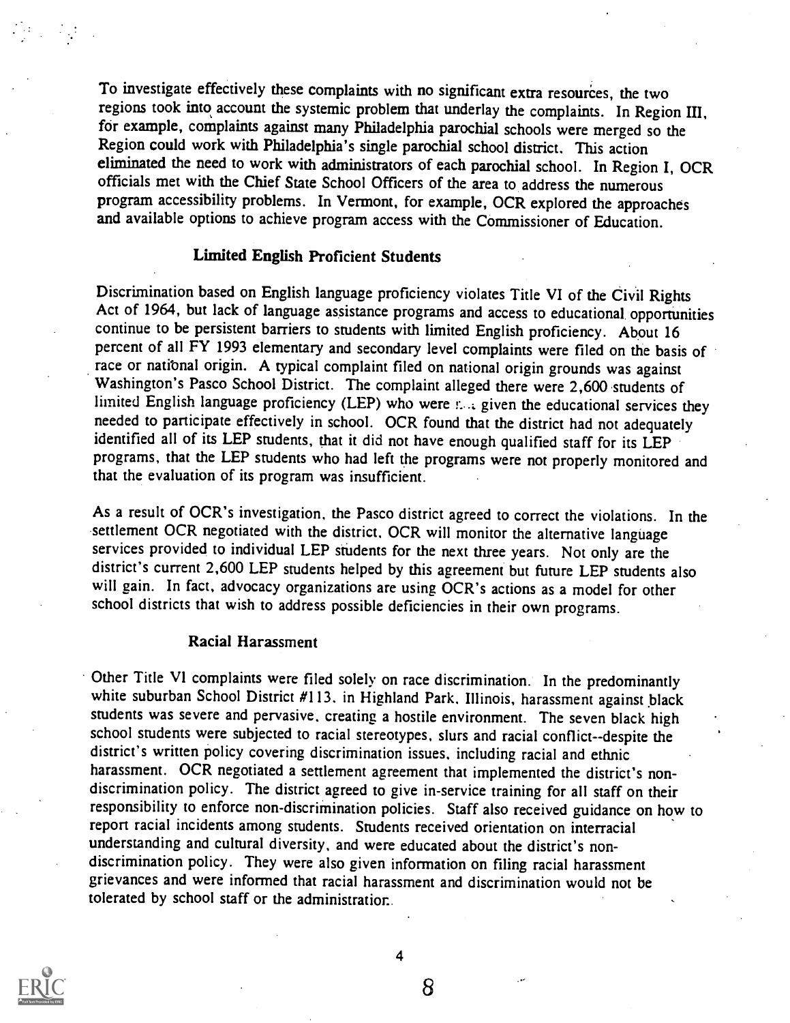To investigate effectively these complaints with no significant extra resources, the two regions took into account the systemic problem that underlay the complaints. In Region III, for example, complaints against many Philadelphia parochial schools were merged so the Region could work with Philadelphia's single parochial school district. This action eliminated the need to work with administrators of each parochial school. In Region I, OCR officials met with the Chief State School Officers of the area to address the numerous program accessibility problems. In Vermont, for example, OCR explored the approaches and available options to achieve program access with the Commissioner of Education.

#### Limited English Proficient Students

Discrimination based on English language proficiency violates Title VI of the Civil Rights Act of 1964, but lack of language assistance programs and access to educational opportunities continue to be persistent barriers to students with limited English proficiency. About 16 percent of all FY 1993 elementary and secondary level complaints were filed on the basis of race or national origin. A typical complaint filed on national origin grounds was against Washington's Pasco School District. The complaint alleged there were 2,600 students of limited English language proficiency (LEP) who were r. .. given the educational services they needed to participate effectively in school. OCR found that the district had not adequately identified all of its LEP students, that it did not have enough qualified staff for its LEP programs, that the LEP students who had left the programs were not properly monitored and that the evaluation of its program was insufficient.

As a result of OCR's investigation, the Pasco district agreed to correct the violations. In the settlement OCR negotiated with the district. OCR will monitor the alternative language services provided to individual LEP students for the next three years. Not only are the district's current 2,600 LEP students helped by this agreement but future LEP students also will gain. In fact, advocacy organizations are using OCR's actions as a model for other school districts that wish to address possible deficiencies in their own programs.

#### Racial Harassment

Other Title VI complaints were filed solely on race discrimination. In the predominantly white suburban School District #113, in Highland Park, Illinois, harassment against black students was severe and pervasive, creating a hostile environment. The seven black high school students were subjected to racial stereotypes, slurs and racial conflict--despite the district's written policy covering discrimination issues, including racial and ethnic harassment. OCR negotiated a settlement agreement that implemented the district's nondiscrimination policy. The district agreed to give in-service training for all staff on their responsibility to enforce non-discrimination policies. Staff also received guidance on how to report racial incidents among students. Students received orientation on interracial understanding and cultural diversity, and were educated about the district's nondiscrimination policy. They were also given information on filing racial harassment grievances and were informed that racial harassment and discrimination would not be tolerated by school staff or the administratior..



 $\mathcal{L}^{\text{max}}_{\text{max}}$ 

4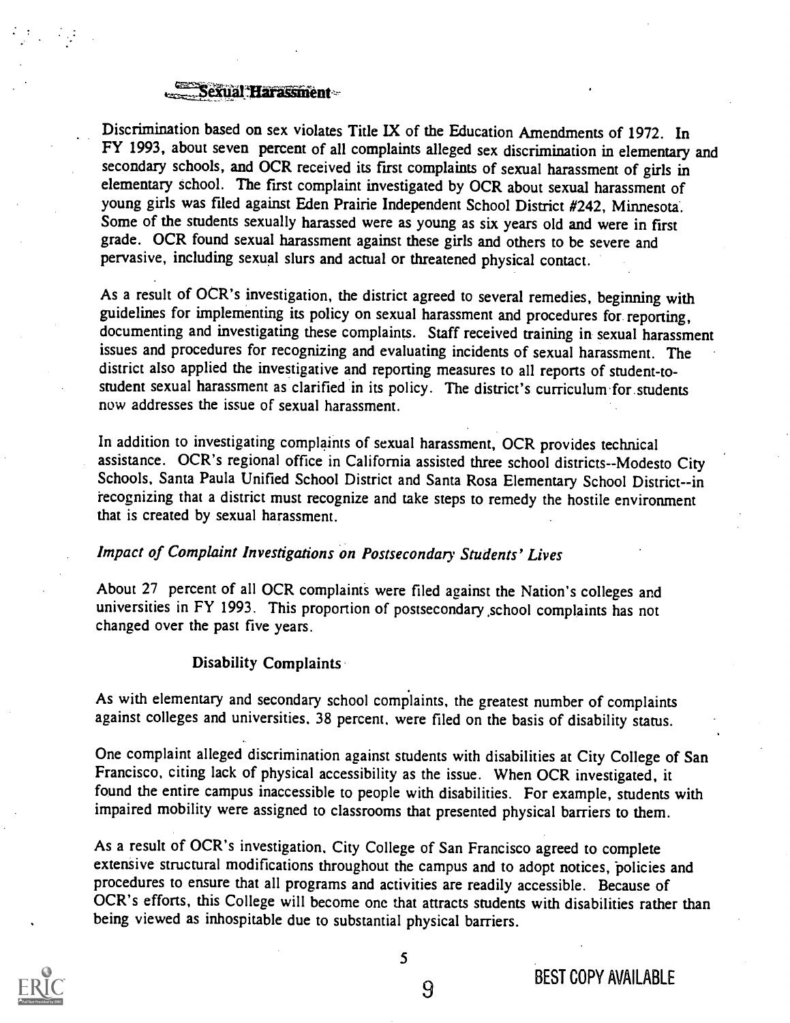#### Sexual Harassment-

Discrimination based on sex violates Title IX of the Education Amendments of 1972. In FY 1993, about seven percent of all complaints alleged sex discrimination in elementary and secondary schools, and OCR received its first complaints of sexual harassment of girls in elementary school. The first complaint investigated by OCR about sexual harassment of young girls was filed against Eden Prairie Independent School District #242, Minnesota. Some of the students sexually harassed were as young as six years old and were in first grade. OCR found sexual harassment against these girls and others to be severe and pervasive, including sexual slurs and actual or threatened physical contact.

As a result of OCR's investigation, the district agreed to several remedies, beginning with guidelines for implementing its policy on sexual harassment and procedures for reporting, documenting and investigating these complaints. Staff received training in sexual harassment issues and procedures for recognizing and evaluating incidents of sexual harassment. The district also applied the investigative and reporting measures to all reports of student-tostudent sexual harassment as clarified in its policy. The district's curriculum for students now addresses the issue of sexual harassment.

In addition to investigating complaints of sexual harassment, OCR provides technical assistance. OCR's regional office in California assisted three school districts--Modesto City Schools, Santa Paula Unified School District and Santa Rosa Elementary School District--in recognizing that a district must recognize and take steps to remedy the hostile environment that is created by sexual harassment.

#### Impact of Complaint Investigations on Postsecondary Students' Lives

About 27 percent of all OCR complaints were filed against the Nation's colleges and universities in FY 1993. This proportion of postsecondary .school complaints has not changed over the past five years.

#### Disability Complaints

As with elementary and secondary school complaints, the greatest number of complaints against colleges and universities, 38 percent, were filed on the basis of disability status.

One complaint alleged discrimination against students with disabilities at City College of San Francisco, citing lack of physical accessibility as the issue. When OCR investigated, it found the entire campus inaccessible to people with disabilities. For example, students with impaired mobility were assigned to classrooms that presented physical barriers to them.

As a result of OCR's investigation, City College of San Francisco agreed to complete extensive structural modifications throughout the campus and to adopt notices, policies and procedures to ensure that all programs and activities are readily accessible. Because of OCR's efforts, this College will become one that attracts students with disabilities rather than being viewed as inhospitable due to substantial physical barriers.



5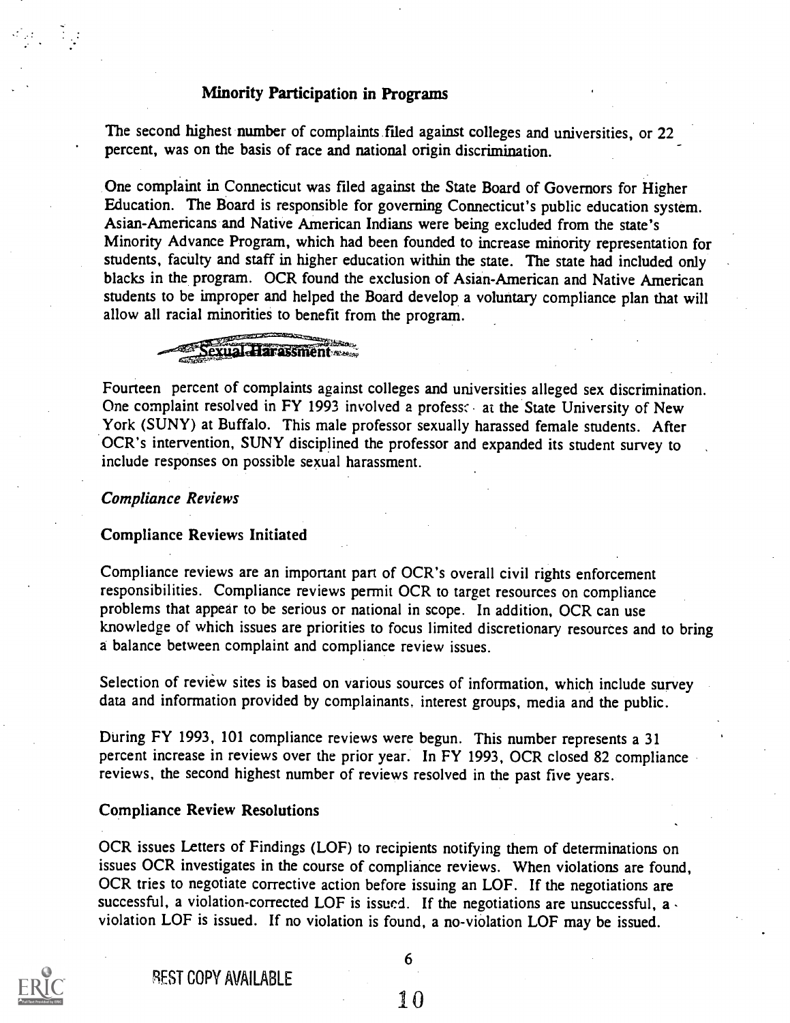#### Minority Participation in Programs

The second highest number of complaints filed against colleges and universities, or 22 percent, was on the basis of race and national origin discrimination.

One complaint in Connecticut was filed against the State Board of Governors for Higher Education. The Board is responsible for governing Connecticut's public education system. Asian-Americans and Native American Indians were being excluded from the state's Minority Advance Program, which had been founded to increase minority representation for students, faculty and staff in higher education within the state. The state had included only blacks in the program. OCR found the exclusion of Asian-American and Native American students to be improper and helped the Board develop a voluntary compliance plan that will allow all racial minorities to benefit from the program.



Fourteen percent of complaints against colleges and universities alleged sex discrimination. One complaint resolved in FY 1993 involved a profess: at the State University of New York (SUNY) at Buffalo. This male professor sexually harassed female students. After OCR's intervention, SUNY disciplined the professor and expanded its student survey to include responses on possible sexual harassment.

#### Compliance Reviews

#### Compliance Reviews Initiated

Compliance reviews are an important part of OCR's overall civil rights enforcement responsibilities. Compliance reviews permit OCR to target resources on compliance problems that appear to be serious or national in scope. In addition, OCR can use knowledge of which issues are priorities to focus limited discretionary resources and to bring a balance between complaint and compliance review issues.

Selection of review sites is based on various sources of information, which include survey data and information provided by complainants, interest groups, media and the public.

During FY 1993, 101 compliance reviews were begun. This number represents a 31 percent increase in reviews over the prior year. In FY 1993, OCR closed 82 compliance reviews, the second highest number of reviews resolved in the past five years.

#### Compliance Review Resolutions

OCR issues Letters of Findings (LOF) to recipients notifying them of determinations on issues OCR investigates in the course of compliance reviews. When violations are found, OCR tries to negotiate corrective action before issuing an LOF. If the negotiations are successful, a violation-corrected LOF is issued. If the negotiations are unsuccessful,  $a \cdot$ violation LOF is issued. If no violation is found, a no-viOlation LOF may be issued.



REST COPY AVAILABLE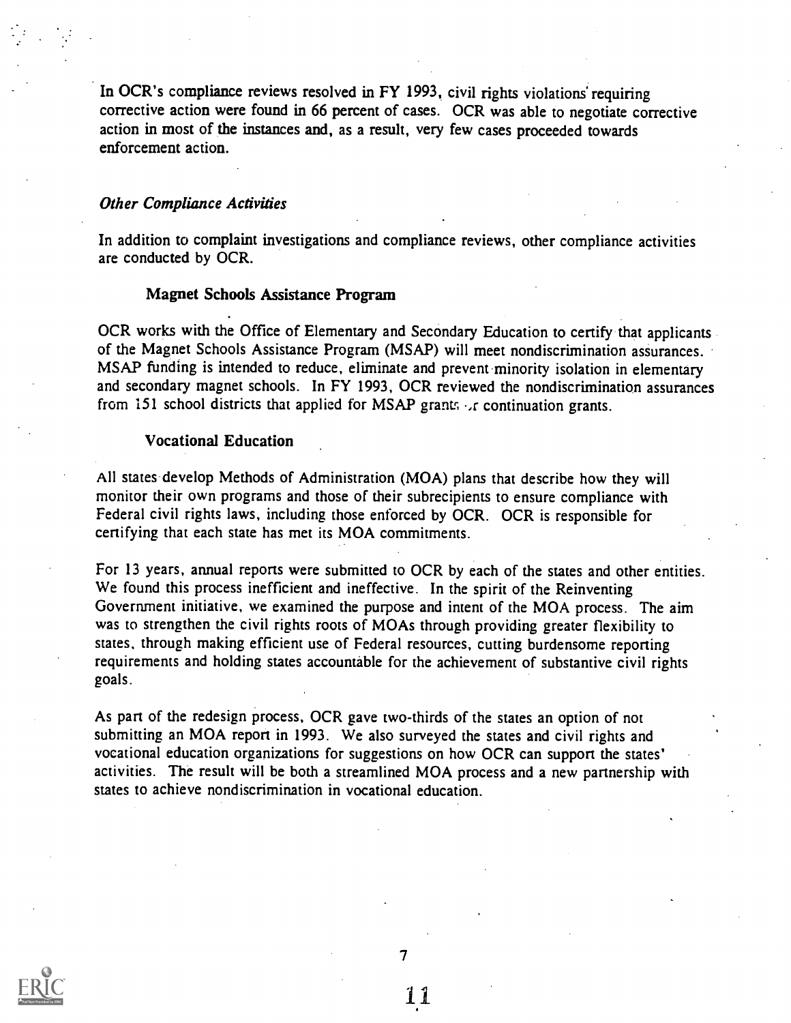In OCR's compliance reviews resolved in FY 1993, civil rights violations requiring corrective action were found in 66 percent of cases. OCR was able to negotiate corrective action in most of the instances and, as a result, very few cases proceeded towards enforcement action.

#### Other Compliance Activities

In addition to complaint investigations and compliance reviews, other compliance activities are conducted by OCR.

#### Magnet Schools Assistance Program

OCR works with the Office of Elementary and Secondary Education to certify that applicants of the Magnet Schools Assistance Program (MSAP) will meet nondiscrimination assurances. MSAP funding is intended to reduce, eliminate and prevent minority isolation in elementary and secondary magnet schools. In FY 1993, OCR reviewed the nondiscrimination assurances from 151 school districts that applied for MSAP grants  $\cdot$  continuation grants.

#### Vocational Education

All states develop Methods of Administration (MOA) plans that describe how they will monitor their own programs and those of their subrecipients to ensure compliance with Federal civil rights laws, including those enforced by OCR. OCR is responsible for certifying that each state has met its MOA commitments.

For 13 years, annual reports were submitted to OCR by each of the states and other entities. We found this process inefficient and ineffective. In the spirit of the Reinventing Government initiative, we examined the purpose and intent of the MOA process. The aim was to strengthen the civil rights roots of MOAs through providing greater flexibility to states, through making efficient use of Federal resources, cutting burdensome reporting requirements and holding states accountable for the achievement of substantive civil rights goals.

As part of the redesign process, OCR gave two-thirds of the states an option of not submitting an MOA report in 1993. We also surveyed the states and civil rights and vocational education organizations for suggestions on how OCR can support the states' activities. The result will be both a streamlined MOA process and a new partnership with states to achieve nondiscrimination in vocational education.



7

1.1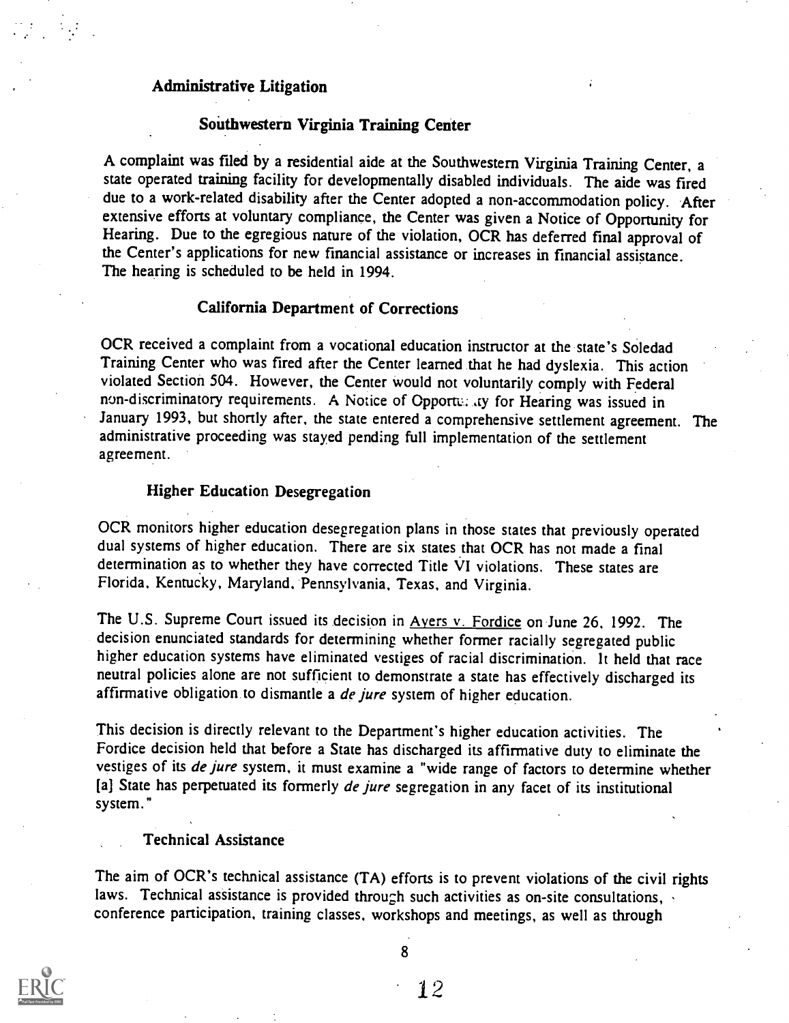#### Administrative Litigation

#### Southwestern Virginia Training Center

A complaint was filed by a residential aide at the Southwestern Virginia Training Center, a state operated training facility for developmentally disabled individuals. The aide was fired due to a work-related disability after the Center adopted a non-accommodation policy. After extensive efforts at voluntary compliance, the Center was given a Notice of Opportunity for Hearing. Due to the egregious nature of the violation, OCR has deferred final approval of the Center's applications for new financial assistance or increases in financial assistance. The hearing is scheduled to be held in 1994.

#### California Department of Corrections

OCR received a complaint from a vocational education instructor at the state's Soledad Training Center who was fired after the Center learned that he had dyslexia. This action violated Section 504. However, the Center would not voluntarily comply with Federal non-discriminatory requirements. A Notice of Opportu. ,ty for Hearing was issued in January 1993, but shortly after, the state entered a comprehensive settlement agreement. The administrative proceeding was stayed pending full implementation of the settlement agreement.

#### Higher Education Desegregation

OCR monitors higher education desegregation plans in those states that previously operated dual systems of higher education. There are six states that OCR has not made a final determination as to whether they have corrected Title VI violations. These states are Florida, Kentucky, Maryland, Pennsylvania, Texas, and Virginia.

The U.S. Supreme Court issued its decision in Ayers v. Fordice on June 26, 1992. The decision enunciated standards for determining whether former racially segregated public higher education systems have eliminated vestiges of racial discrimination. It held that race neutral policies alone are not sufficient to demonstrate a state has effectively discharged its affirmative obligation to dismantle a *de jure* system of higher education.

This decision is directly relevant to the Department's higher education activities. The Fordice decision held that before a State has discharged its affirmative duty to eliminate the vestiges of its de jure system, it must examine a "wide range of factors to determine whether [a] State has perpetuated its formerly de jure segregation in any facet of its institutional system."

#### Technical Assistance

The aim of OCR's technical assistance (TA) efforts is to prevent violations of the civil rights laws. Technical assistance is provided through such activities as on-site consultations, conference participation, training classes, workshops and meetings, as well as through

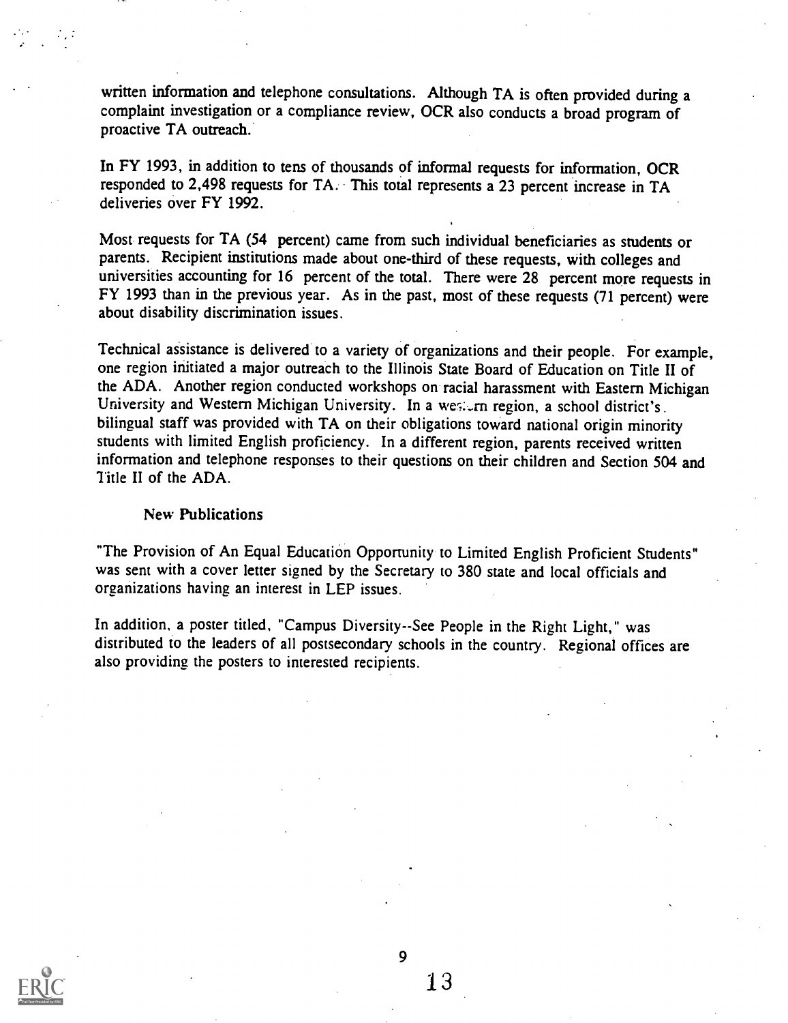written information and telephone consultations. Although TA is often provided during a complaint investigation or a compliance review, OCR also conducts a broad program of proactive TA outreach.

In FY 1993, in addition to tens of thousands of informal requests for information, OCR responded to 2,498 requests for TA. This total represents a 23 percent increase in TA deliveries over FY 1992.

Most requests for TA (54 percent) came from such individual beneficiaries as students or parents. Recipient institutions made about one-third of these requests, with colleges and universities accounting for 16 percent of the total. There were 28 percent more requests in FY 1993 than in the previous year. As in the past, most of these requests (71 percent) were about disability discrimination issues.

Technical assistance is delivered to a variety of organizations and their people. For example, one region initiated a major outreach to the Illinois State Board of Education on Title II of the ADA. Another region conducted workshops on racial harassment with Eastern Michigan University and Western Michigan University. In a western region, a school district's. bilingual staff was provided with TA on their obligations toward national origin minority students with limited English proficiency. In a different region, parents received written information and telephone responses to their questions on their children and Section 504 and Title II of the ADA.

#### New Publications

"The Provision of An Equal Education Opportunity to Limited English Proficient Students" was sent with a cover letter signed by the Secretary to 380 state and local officials and organizations having an interest in LEP issues.

In addition, a poster titled, "Campus Diversity--See People in the Right Light," was distributed to the leaders of all postsecondary schools in the country. Regional offices are also providing the posters to interested recipients.



 $\mathbf Q$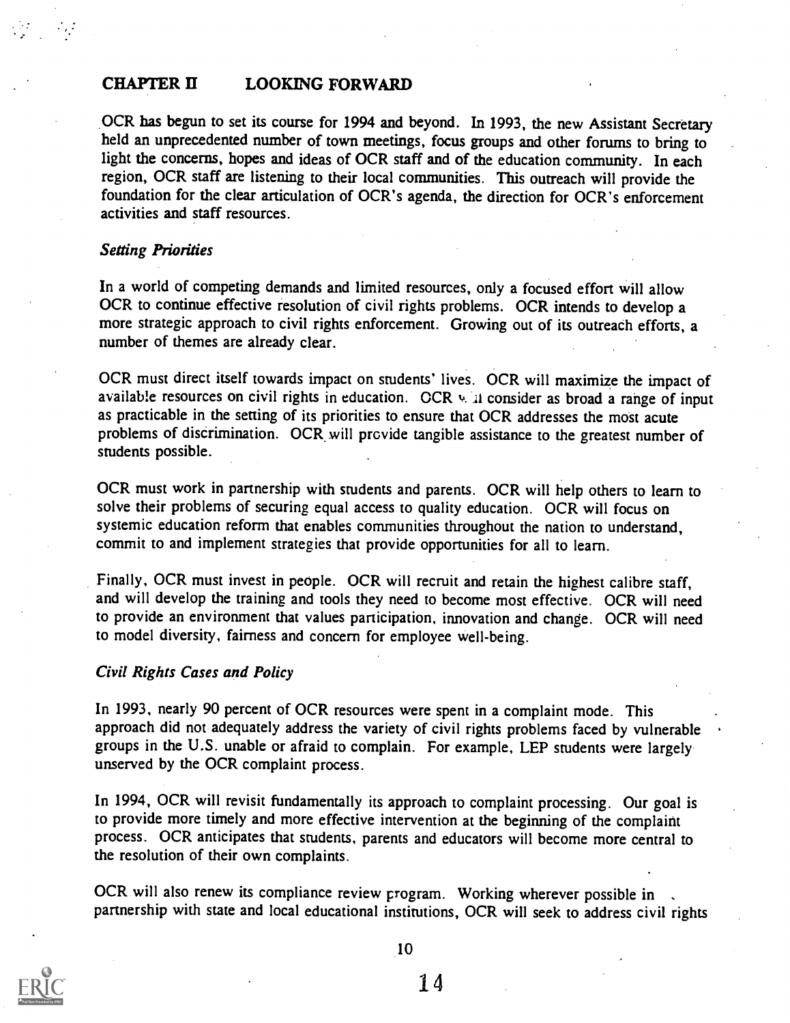#### CHAPTER II LOOKING FORWARD

OCR has begun to set its course for 1994 and beyond. In 1993, the new Assistant Secretary held an unprecedented number of town meetings, focus groups and other forums to bring to light the concerns, hopes and ideas of OCR staff and of the education community. In each region, OCR staff are listening to their local communities. This outreach will provide the foundation for the clear articulation of OCR's agenda, the direction for OCR's enforcement activities and staff resources.

#### Setting Priorities

In a world of competing demands and limited resources, only a focused effort will allow OCR to continue effective resolution of civil rights problems. OCR intends to develop a more strategic approach to civil rights enforcement. Growing out of its outreach efforts, a number of themes are already clear.

OCR must direct itself towards impact on students' lives. OCR will maximize the impact of available resources on civil rights in education.  $CCR \vee \mathbb{I}$  consider as broad a range of input as practicable in the setting of its priorities to ensure that OCR addresses the most acute problems of discrimination. OCR.will provide tangible assistance to the greatest number of students possible.

OCR must work in partnership with students and parents. OCR will help others to learn to solve their problems of securing equal access to quality education. OCR will focus on systemic education reform that enables communities throughout the nation to understand, commit to and implement strategies that provide opportunities for all to learn.

Finally, OCR must invest in people. OCR will recruit and retain the highest calibre staff, and will develop the training and tools they need to become most effective. OCR will need to provide an environment that values participation, innovation and change. OCR will need to model diversity, fairness and concern for employee well-being.

#### Civil Rights Cases and Policy

In 1993, nearly 90 percent of OCR resources were spent in a complaint mode. This approach did not adequately address the variety of civil rights problems faced by vulnerable groups in the U.S. unable or afraid to complain. For example, LEP students were largely unserved by the OCR complaint process.

In 1994, OCR will revisit fundamentally its approach to complaint processing. Our goal is to provide more timely and more effective intervention at the begimiing of the complaint process. OCR anticipates that students, parents and educators will become more central to the resolution of their own complaints.

OCR will also renew its compliance review program. Working wherever possible in partnership with state and local educational institutions, OCR will seek to address civil rights

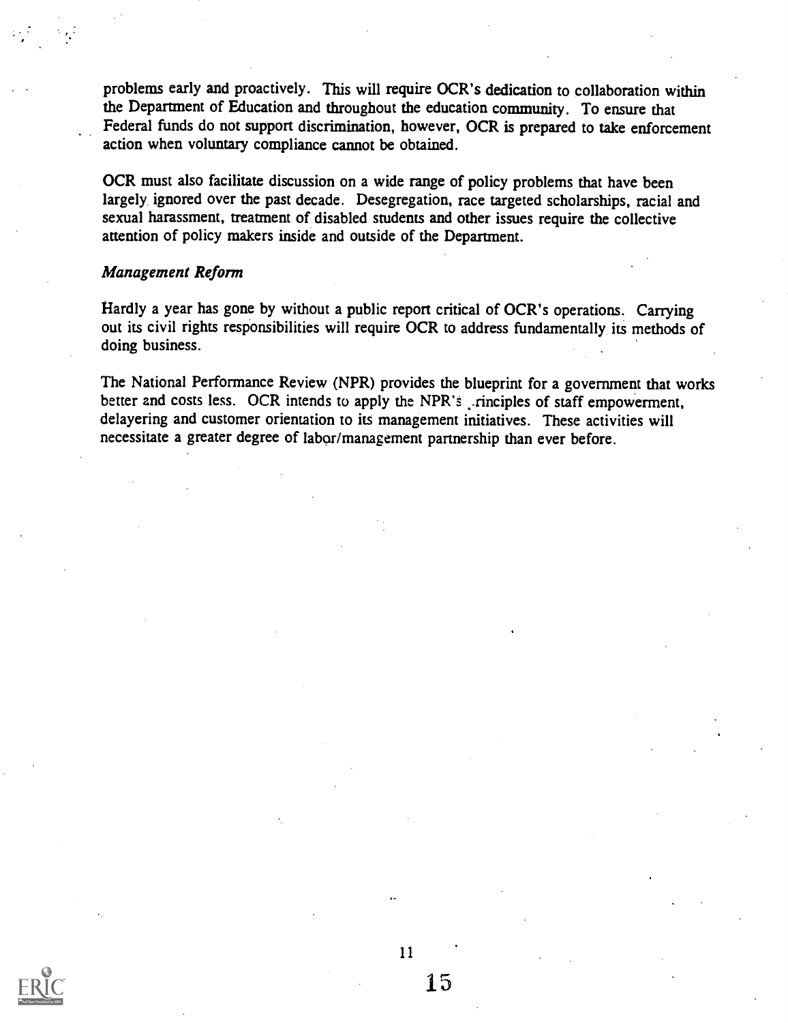problems early and proactively. This will require OCR's dedication to collaboration within the Department of Education and throughout the education community. To ensure that Federal funds do not support discrimination, however, OCR is prepared to take enforcement action when voluntary compliance carmot be obtained.

OCR must also facilitate discussion on a wide range of policy problems that have been largely, ignored over the past decade. Desegregation, race targeted scholarships, racial and sexual harassment, treatment of disabled students and other issues require the collective attention of policy makers inside and outside of the Department.

#### Management Reform

Hardly a year has gone by without a public report critical of OCR's operations. Carrying out its civil rights responsibilities will require OCR to address fundamentally its methods of doing business.

The National Performance Review (NPR) provides the blueprint for a government that works better and costs less. OCR intends to apply the NPR's rinciples of staff empowerment, delayering and customer orientation to its management initiatives. These activities will necessitate a greater degree of labor/management partnership than ever before.

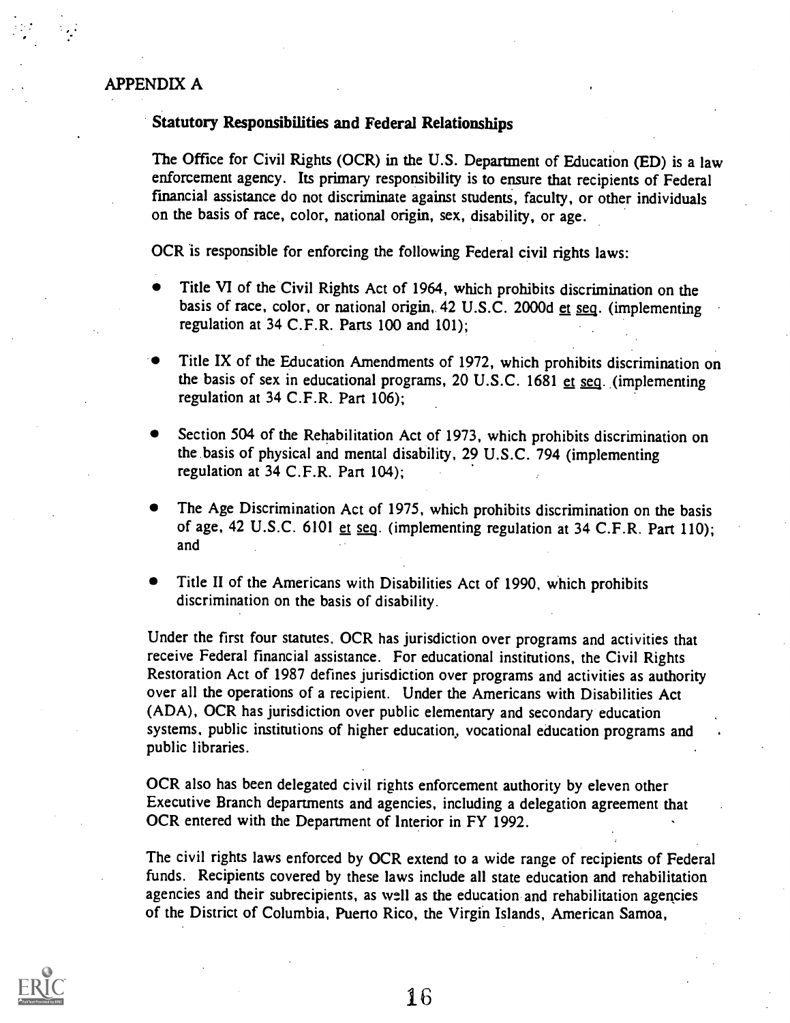#### APPENDIX A

#### Statutory Responsibilities and Federal Relationships

The Office for Civil Rights (OCR) in the U.S. Department of Education (ED) is a law enforcement agency. Its primary responsibility is to ensure that recipients of Federal fmancial assistance do not discriminate against students, faculty, or other individuals on the basis of race, color, national origin, sex, disability, or age.

OCR is responsible for enforcing the following Federal civil rights laws:

- Title VI of the Civil Rights Act of 1964, which prohibits discrimination on the basis of race, color, or national origin, 42 U.S.C. 2000d et seq. (implementing regulation at 34 C.F.R. Parts 100 and 101);
- Title IX of the Education Amendments of 1972, which prohibits discrimination on the basis of sex in educational programs, 20 U.S.C. 1681 et seq. (implementing regulation at 34 C.F.R. Part 106);
- Section 504 of the Rehabilitation Act of 1973, which prohibits discrimination on the basis of physical and mental disability, 29 U.S.C. 794 (implementing regulation at 34 C.F.R. Part 104);
- The Age Discrimination Act of 1975, which prohibits discrimination on the basis of age, 42 U.S.C. 6101 et seg. (implementing regulation at 34 C.F.R. Part 110); and
- Title II of the Americans with Disabilities Act of 1990, which prohibits discrimination on the basis of disability.

Under the first four statutes. OCR has jurisdiction over programs and activities that receive Federal financial assistance. For educational institutions, the Civil Rights Restoration Act of 1987 defines jurisdiction over programs and activities as authority over all the operations of a recipient. Under the Americans with Disabilities Act (ADA), OCR has jurisdiction over public elementary and secondary education systems. public institutions of higher education., vocational education programs and public libraries.

OCR also has been delegated civil rights enforcement authority by eleven other Executive Branch departments and agencies, including a delegation agreement that OCR entered with the Department of Interior in FY 1992.

The civil rights laws enforced by OCR extend to a wide range of recipients of Federal funds. Recipients covered by these laws include all state education and rehabilitation agencies and their subrecipients, as well as the education and rehabilitation agencies of the District of Columbia, Puerto Rico, the Virgin Islands, American Samoa,

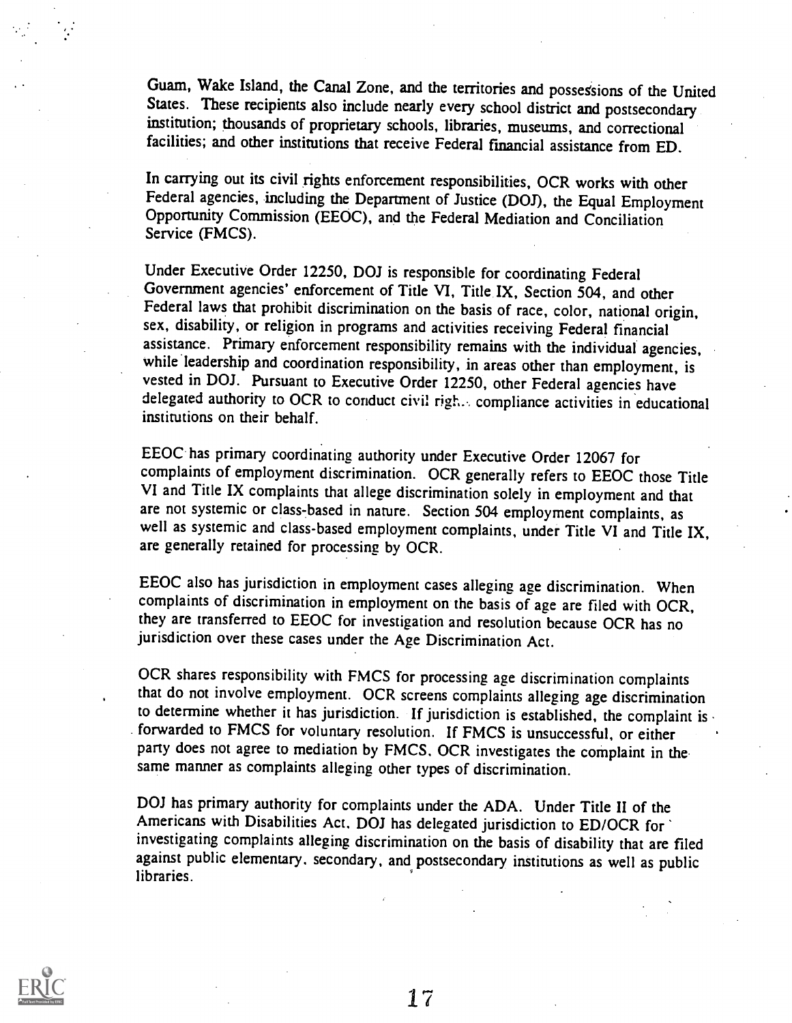Guam, Wake Island, the Canal Zone, and the territories and possessions of the United States. These recipients also include nearly every school district and postsecondary institution; thousands of proprietary schools, libraries, museums, and correctional facilities; and other institutions that receive Federal fmancial assistance from ED.

In carrying out its civil rights enforcement responsibilities, OCR works with other Federal agencies, including the Department of Justice (DOJ), the Equal Employment Opportunity Commission (EEOC), and the Federal Mediation and Conciliation Service (FMCS).

Under Executive Order 12250, DOJ is responsible for coordinating Federal Government agencies' enforcement of Title VI, Title IX, Section 504, and other Federal laws that prohibit discrimination on the basis of race, color, national origin, sex, disability, or religion in programs and activities receiving Federal financial assistance. Primary enforcement responsibility remains with the individual agencies, while leadership and coordination responsibility, in areas other than employment, is vested in DOJ. Pursuant to Executive Order 12250, other Federal agencies have delegated authority to OCR to conduct civil righ... compliance activities in educational institutions on their behalf.

EEOC has primary coordinating authority under Executive Order 12067 for complaints of employment discrimination. OCR generally refers to EEOC those Title VI and Title IX complaints that allege discrimination solely in employment and that are not systemic or class-based in nature. Section 504 employment complaints, as well as systemic and class-based employment complaints, under Title VI and Title IX, are generally retained for processing by OCR.

EEOC also has jurisdiction in employment cases alleging age discrimination. When complaints of discrimination in employment on the basis of age are filed with OCR, they are transferred to EEOC for investigation and resolution because OCR has no jurisdiction over these cases under the Age Discrimination Act.

OCR shares responsibility with FMCS for processing age discrimination complaints that do not involve employment. OCR screens complaints alleging age discrimination to determine whether it has jurisdiction. If jurisdiction is established, the complaint is forwarded to FMCS for voluntary resolution. If FMCS is unsuccessful, or either party does not agree to mediation by FMCS. OCR investigates the complaint in the same manner as complaints alleging other types of discrimination.

DOJ has primary authority for complaints under the ADA. Under Title II of the Americans with Disabilities Act. DOJ has delegated jurisdiction to ED/OCR for investigating complaints alleging discrimination on the basis of disability that are filed against public elementary, secondary, and postsecondary institutions as well as public libraries.

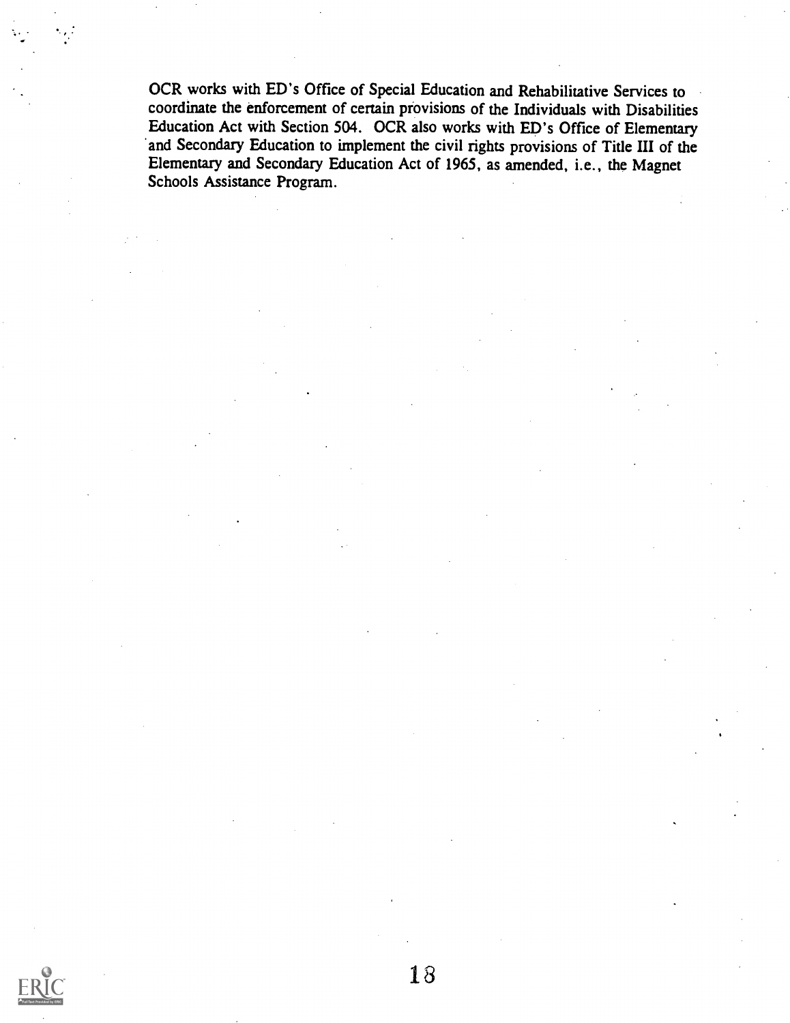OCR works with ED's Office of Special Education and Rehabilitative Services to coordinate the enforcement of certain provisions of the Individuals with Disabilities Education Act with Section 504. OCR also works with ED's Office of Elementary and Secondary Education to implement the civil rights provisions of Title III of the Elementary and Secondary Education Act of 1965, as amended, i.e., the Magnet Schools Assistance Program.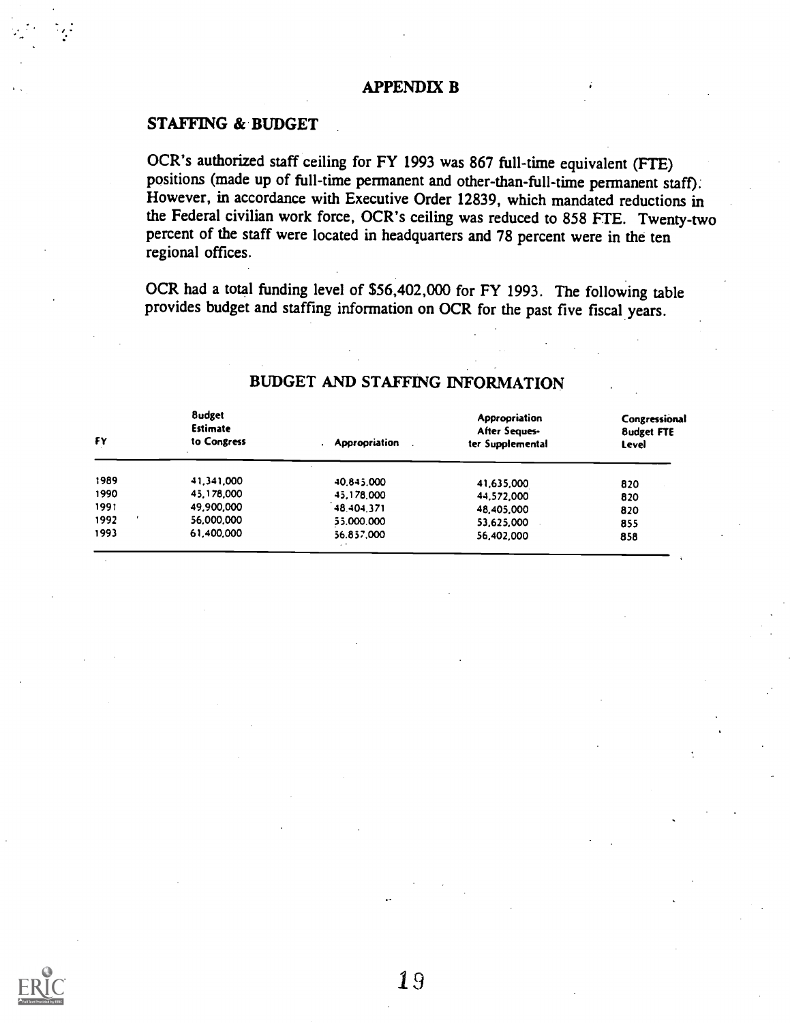#### APPENDIX B

#### STAFFING & BUDGET

OCR's authorized staff ceiling for FY 1993 was 867 full-time equivalent (FTE) positions (made up of full-time permanent and other-than-full-time permanent staff). However, in accordance with Executive Order 12839, which mandated reductions in the Federal civilian work force, OCR's ceiling was reduced to 858 FTE. Twenty-two percent of the staff were located in headquarters and 78 percent were in the ten regional offices.

OCR had a total funding level of \$56,402,000 for FY 1993. The following table provides budget and staffing information on OCR for the past five fiscal years.

| FΥ   | <b>8udget</b><br><b>Estimate</b><br>to Congress | <b>Appropriation</b> | Appropriation<br>After Seques-<br>ter Supplemental | Congressional<br><b>8udget FTE</b><br>Level |  |
|------|-------------------------------------------------|----------------------|----------------------------------------------------|---------------------------------------------|--|
| 1989 | 41,341,000                                      | 40.845.000           | 41,635,000                                         | 820                                         |  |
| 1990 | 45.178,000                                      | 45.178.000           | 44,572,000                                         | 820                                         |  |
| 1991 | 49,900,000                                      | 48.404.371           | 48,405,000                                         | 820                                         |  |
| 1992 | 56,000,000                                      | 55.000.000           | 53,625,000                                         | 855                                         |  |
| 1993 | 61,400,000                                      | 56.857,000<br>$\sim$ | 56,402,000                                         | 858                                         |  |

#### BUDGET AND STAFFING INFORMATION

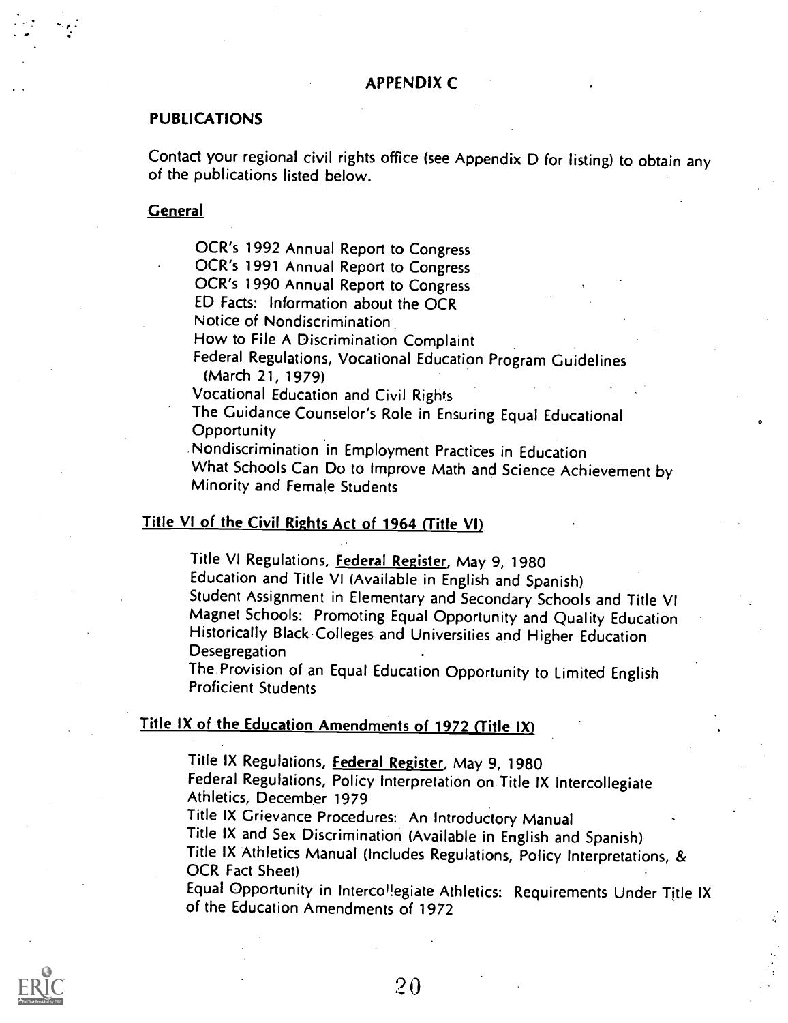#### PUBLICATIONS

Contact your regional civil rights office (see Appendix D for listing) to obtain any of the publications listed below.

#### **General**

7

OCR's 1992 Annual Report to Congress

OCR's 1991 Annual Report to Congress

OCR's 1990 Annual Report to Congress

ED Facts: Information about the OCR

Notice of Nondiscrimination

How to File A Discrimination Complaint

Federal Regulations, Vocational Education Program Guidelines (March 21, 1979)

Vocational Education and Civil Rights

The Guidance Counselor's Role in Ensuring Equal Educational **Opportunity** 

Nondiscrimination in Employment Practices in Education

What Schools Can Do to Improve Math and Science Achievement by Minority and Female Students

#### Title VI of the Civil Rights Act of 1964 (Title VI)

Title VI Regulations, **Federal Register**, May 9, 1980

Education and Title VI (Available in English and Spanish)

Student Assignment in Elementary and Secondary Schools and Title VI Magnet Schools: Promoting Equal Opportunity and Quality Education Historically Black Colleges and Universities and Higher Education **Desegregation** 

The Provision of an Equal Education Opportunity to Limited English Proficient Students

#### Title IX of the Education Amendments of 1972 (Title IX)

Title IX Regulations, **Federal Register**, May 9, 1980

Federal Regulations, Policy Interpretation on Title IX Intercollegiate Athletics, December 1979

Title IX Grievance Procedures: An Introductory Manual

Title IX and Sex Discrimination (Available in English and Spanish) Title IX Athletics Manual (Includes Regulations, Policy Interpretations, & OCR Fact Sheet)

Equal Opportunity in Interco<sup>l</sup>!egiate Athletics: Requirements Under Title IX of the Education Amendments of 1972

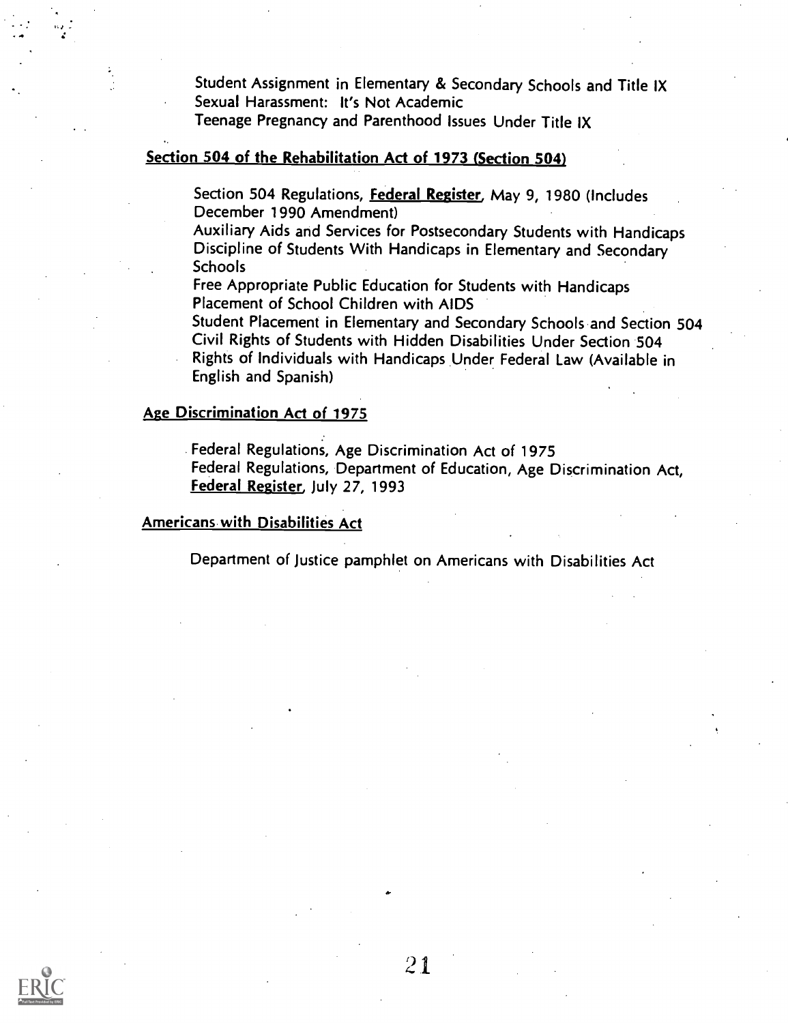Student Assignment in Elementary & Secondary Schools and Title IX Sexual Harassment: It's Not Academic

Teenage Pregnancy and Parenthood Issues Under Title IX

#### Section 504 of the Rehabilitation Act of 1973 (Section 504)

Section 504 Regulations, Federal Register, May 9, 1980 (Includes December 1990 Amendment)

Auxiliary Aids and Services for Postsecondary Students with Handicaps Discipline of Students With Handicaps in Elementary and Secondary **Schools** 

Free Appropriate Public Education for Students with Handicaps Placement of School Children with AIDS

Student Placement in Elementary and Secondary Schools and Section 504 Civil Rights of Students with Hidden Disabilities Under Section 504 Rights of Individuals with Handicaps Under Federal Law (Available in English and Spanish)

#### Age Discrimination Act of 1975

Federal Regulations, Age Discrimination Act of 1975 Federal Regulations, Department of Education, Age Discrimination Act, Federal Register, July 27, 1993

Americans with Disabilities Act

Department of Justice pamphlet on Americans with Disabilities Act

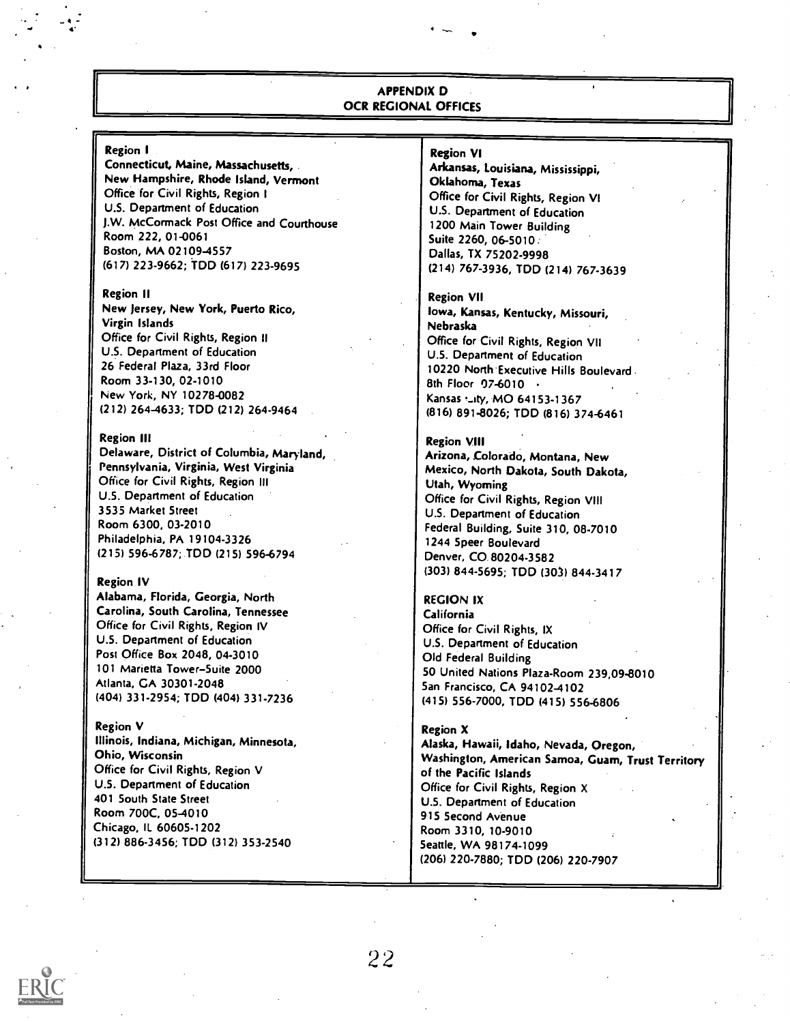#### APPENDIX D OCR REGIONAL OFFICES

#### Region I

Connecticut, Maine, Massachusetts, New Hampshire, Rhode Island, Vermont Office for Civil Rights, Region I U.S. Department of Education J.W. McCormack Post Office and Courthouse Room 222, 01-0061 Boston, MA 02109-4557 (617) 223-9662; TDD (617) 223-9695

#### Region II

New jersey, New York, Puerto Rico, Virgin Islands Office for Civil Rights, Region II U.S. Department of Education 26 Federal Plaza, 33rd Floor Room 33-130, 02-1010 New York, NY 10278-0082 (212) 264-4633; TOD (212) 264-9464

#### Region III

Delaware, District of Columbia, Maryland, Pennsylvania, Virginia, West Virginia Office for Civil Rights, Region III U.S. Department of Education 3535 Market Street Room 6300, 03-2010 Philadelphia, PA 19104-3326 (215) 596-6787; TDD (215) 596-6794

#### Region IV

Alabama, Florida, Georgia, North Carolina, South Carolina, Tennessee Office for Civil Rights, Region IV U.S. Department of Education Post Office Box 2048, 04-3010 101 Marietta Tower-Suite 2000 Atlanta, GA 30301-2048 (404) 331-2954; TDD (404) 331-7236

#### Region V

Illinois, Indiana, Michigan, Minnesota, Ohio, Wisconsin Office for Civil Rights, Region V U.S. Department of Education 401 South State Street Room 700C, 05-4010 Chicago, IL 60605-1202 (312) 886-3456; TDD (312) 353-2540

#### Region VI

Arkansas, Louisiana, Mississippi, Oklahoma, Texas Office for Civil Rights, Region VI U.S. Department of Education 1200 Main Tower Building Suite 2260, 06-5010 : Dallas, TX 75202-9998 (214) 767-3936, TDD (214) 767-3639

#### Region VII

Iowa, Kansas, Kentucky, Missouri, Nebraska Office for Civil Rights, Region VII U.S. Department of Education 10220 North Executive Hills Boulevard 8th Floor 07-6010 · Kansas ...ity, MO 64153-1367 (816) 891-8026; TDD (816) 374-6461

#### Region VIII

Arizona, Colorado, Montana, New Mexico, North Dakota, South Dakota, Utah, Wyoming Office for Civil Rights, Region VIII U.S. Department of Education Federal Building, Suite 310, 08-7010 1244 Speer Boulevard Denver, CO 80204-3582 (303) 844-5695; TDD (301) 844-3417

#### REGION IX

California Office for Civil Rights, IX U.S. Department of Education Old Federal Building 50 United Nations Plaza-Room 239,09-8010 San Francisco, CA 94102-4102 (415) 556-7000, TDD (415) 556-6806

#### Region X

Alaska, Hawaii, Idaho, Nevada, Oregon, Washington, American Samoa, Guam, Trust Territory of the Pacific Islands Office for Civil Rights, Region X U.S. Department of Education 915 Second Avenue Room 3310, 10-9010 Seattle, WA 98174-1099 (206) 220-7880; TDD (206) 220-7907